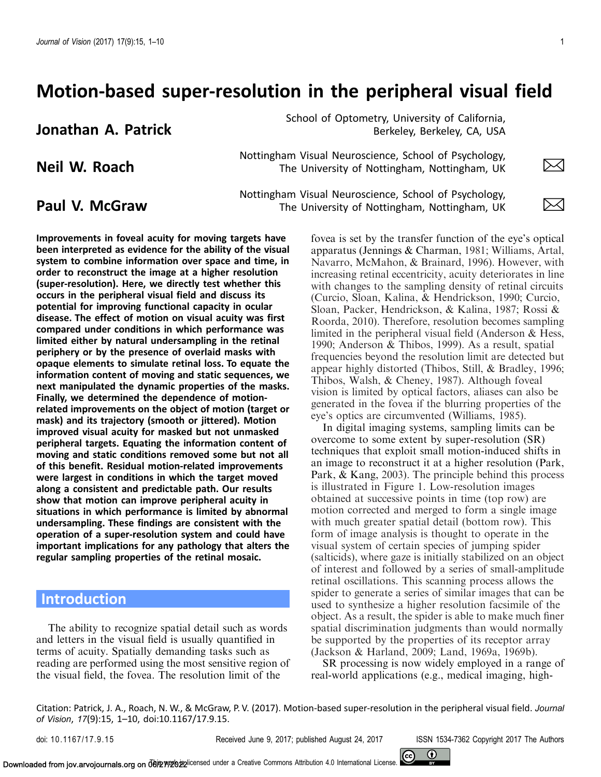# Motion-based super-resolution in the peripheral visual field

School of Optometry, University of California,<br>Jonathan A. Patrick Servel Berkeley, Berkeley, CA, USA

Nottingham Visual Neuroscience, School of Psychology,<br>The University of Nottingham, Nottingham, UK The University of Nottingham, Nottingham, UK  $\sim$ 



Nottingham Visual Neuroscience, School of Psychology,<br>The University of Nottingham, Nottingham, UK The University of Nottingham, Nottingham, UK [\\$](mailto:pvm@psychology.nottingham.ac.uk)

Improvements in foveal acuity for moving targets have been interpreted as evidence for the ability of the visual system to combine information over space and time, in order to reconstruct the image at a higher resolution (super-resolution). Here, we directly test whether this occurs in the peripheral visual field and discuss its potential for improving functional capacity in ocular disease. The effect of motion on visual acuity was first compared under conditions in which performance was limited either by natural undersampling in the retinal periphery or by the presence of overlaid masks with opaque elements to simulate retinal loss. To equate the information content of moving and static sequences, we next manipulated the dynamic properties of the masks. Finally, we determined the dependence of motionrelated improvements on the object of motion (target or mask) and its trajectory (smooth or jittered). Motion improved visual acuity for masked but not unmasked peripheral targets. Equating the information content of moving and static conditions removed some but not all of this benefit. Residual motion-related improvements were largest in conditions in which the target moved along a consistent and predictable path. Our results show that motion can improve peripheral acuity in situations in which performance is limited by abnormal undersampling. These findings are consistent with the operation of a super-resolution system and could have important implications for any pathology that alters the regular sampling properties of the retinal mosaic.

Introduction

The ability to recognize spatial detail such as words and letters in the visual field is usually quantified in terms of acuity. Spatially demanding tasks such as reading are performed using the most sensitive region of the visual field, the fovea. The resolution limit of the

fovea is set by the transfer function of the eye's optical apparatus (Jennings & Charman, [1981](#page-8-0); Williams, Artal, Navarro, McMahon, & Brainard, [1996\)](#page-9-0). However, with increasing retinal eccentricity, acuity deteriorates in line with changes to the sampling density of retinal circuits (Curcio, Sloan, Kalina, & Hendrickson, [1990;](#page-8-0) Curcio, Sloan, Packer, Hendrickson, & Kalina, [1987](#page-8-0); Rossi & Roorda, [2010\)](#page-8-0). Therefore, resolution becomes sampling limited in the peripheral visual field (Anderson & Hess, [1990;](#page-7-0) Anderson & Thibos, [1999\)](#page-7-0). As a result, spatial frequencies beyond the resolution limit are detected but appear highly distorted (Thibos, Still, & Bradley, [1996](#page-9-0); Thibos, Walsh, & Cheney, [1987\)](#page-9-0). Although foveal vision is limited by optical factors, aliases can also be generated in the fovea if the blurring properties of the eye's optics are circumvented (Williams, [1985\)](#page-9-0).

Berkeley, Berkeley, CA, USA

In digital imaging systems, sampling limits can be overcome to some extent by super-resolution (SR) techniques that exploit small motion-induced shifts in an image to reconstruct it at a higher resolution (Park, Park, & Kang, [2003\)](#page-8-0). The principle behind this process is illustrated in [Figure 1](#page-1-0). Low-resolution images obtained at successive points in time (top row) are motion corrected and merged to form a single image with much greater spatial detail (bottom row). This form of image analysis is thought to operate in the visual system of certain species of jumping spider (salticids), where gaze is initially stabilized on an object of interest and followed by a series of small-amplitude retinal oscillations. This scanning process allows the spider to generate a series of similar images that can be used to synthesize a higher resolution facsimile of the object. As a result, the spider is able to make much finer spatial discrimination judgments than would normally be supported by the properties of its receptor array (Jackson & Harland, [2009](#page-8-0); Land, [1969a, 1969b](#page-8-0)).

SR processing is now widely employed in a range of real-world applications (e.g., medical imaging, high-

Citation: Patrick, J. A., Roach, N. W., & McGraw, P. V. (2017). Motion-based super-resolution in the peripheral visual field. Journal of Vision, 17(9):15, 1–10, doi:10.1167/17.9.15.

doi: 10.1167/17.9.15 **State 10.1167/17.9.15** Received June 9, 2017; published August 24, 2017 **ISSN 1534-7362 Copyright 2017** The Authors

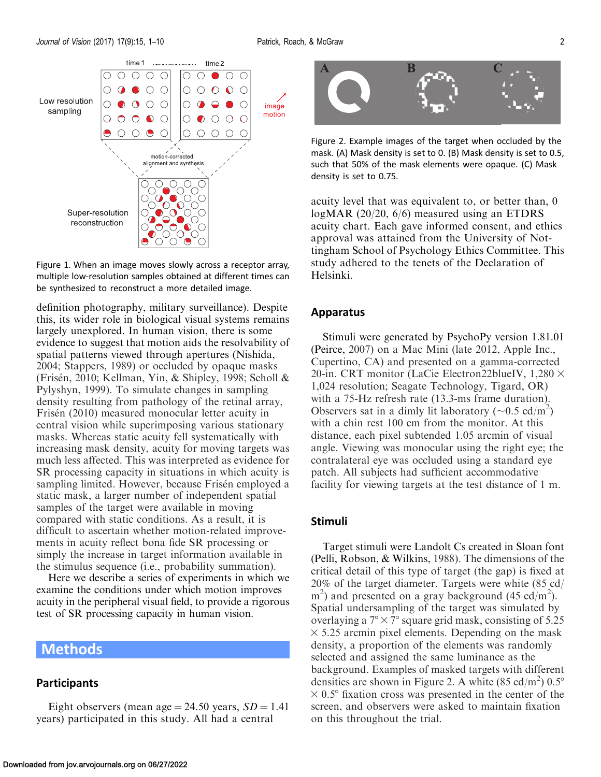<span id="page-1-0"></span>

Figure 1. When an image moves slowly across a receptor array, multiple low-resolution samples obtained at different times can be synthesized to reconstruct a more detailed image.

definition photography, military surveillance). Despite this, its wider role in biological visual systems remains largely unexplored. In human vision, there is some evidence to suggest that motion aids the resolvability of spatial patterns viewed through apertures (Nishida, [2004;](#page-8-0) Stappers, [1989](#page-9-0)) or occluded by opaque masks (Frisén, [2010](#page-8-0); Kellman, Yin, & Shipley, [1998](#page-8-0); Scholl & Pylyshyn, [1999\)](#page-9-0). To simulate changes in sampling density resulting from pathology of the retinal array, Frisén ([2010\)](#page-8-0) measured monocular letter acuity in central vision while superimposing various stationary masks. Whereas static acuity fell systematically with increasing mask density, acuity for moving targets was much less affected. This was interpreted as evidence for SR processing capacity in situations in which acuity is sampling limited. However, because Frisén employed a static mask, a larger number of independent spatial samples of the target were available in moving compared with static conditions. As a result, it is difficult to ascertain whether motion-related improvements in acuity reflect bona fide SR processing or simply the increase in target information available in the stimulus sequence (i.e., probability summation).

Here we describe a series of experiments in which we examine the conditions under which motion improves acuity in the peripheral visual field, to provide a rigorous test of SR processing capacity in human vision.

## Methods

#### **Participants**

Eight observers (mean age = 24.50 years,  $SD = 1.41$ ) years) participated in this study. All had a central

Figure 2. Example images of the target when occluded by the mask. (A) Mask density is set to 0. (B) Mask density is set to 0.5, such that 50% of the mask elements were opaque. (C) Mask density is set to 0.75.

acuity level that was equivalent to, or better than, 0 logMAR (20/20, 6/6) measured using an ETDRS acuity chart. Each gave informed consent, and ethics approval was attained from the University of Nottingham School of Psychology Ethics Committee. This study adhered to the tenets of the Declaration of Helsinki.

#### Apparatus

Stimuli were generated by PsychoPy version 1.81.01 (Peirce, [2007](#page-8-0)) on a Mac Mini (late 2012, Apple Inc., Cupertino, CA) and presented on a gamma-corrected 20-in. CRT monitor (LaCie Electron22blueIV,  $1,280 \times$ 1,024 resolution; Seagate Technology, Tigard, OR) with a 75-Hz refresh rate (13.3-ms frame duration). Observers sat in a dimly lit laboratory ( $\sim$ 0.5 cd/m<sup>2</sup>) with a chin rest 100 cm from the monitor. At this distance, each pixel subtended 1.05 arcmin of visual angle. Viewing was monocular using the right eye; the contralateral eye was occluded using a standard eye patch. All subjects had sufficient accommodative facility for viewing targets at the test distance of 1 m.

#### Stimuli

Target stimuli were Landolt Cs created in Sloan font (Pelli, Robson, & Wilkins, [1988](#page-8-0)). The dimensions of the critical detail of this type of target (the gap) is fixed at 20% of the target diameter. Targets were white (85 cd/  $\text{m}^2$ ) and presented on a gray background (45 cd/m<sup>2</sup>). Spatial undersampling of the target was simulated by overlaying a  $7^\circ \times 7^\circ$  square grid mask, consisting of 5.25  $\times$  5.25 arcmin pixel elements. Depending on the mask density, a proportion of the elements was randomly selected and assigned the same luminance as the background. Examples of masked targets with different densities are shown in Figure 2. A white  $(85 \text{ cd/m}^2) 0.5^\circ$  $\times$  0.5 $\degree$  fixation cross was presented in the center of the screen, and observers were asked to maintain fixation on this throughout the trial.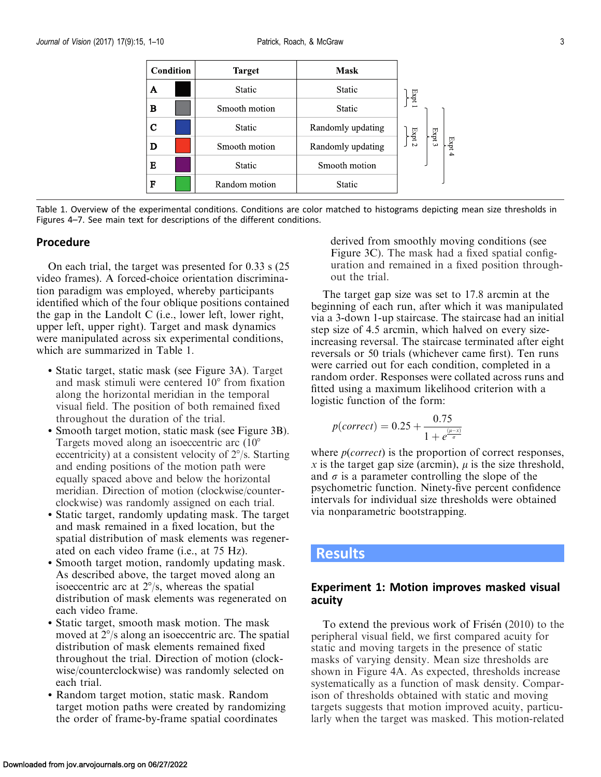| <b>Condition</b> | <b>Target</b> | <b>Mask</b>       |                                                |
|------------------|---------------|-------------------|------------------------------------------------|
| A                | Static        | Static            | Expt 1                                         |
| в                | Smooth motion | <b>Static</b>     |                                                |
| С                | Static        | Randomly updating |                                                |
| D                | Smooth motion | Randomly updating | $\frac{\text{Expt}}{2}$<br>Expt 3<br>Expt<br>4 |
| E                | Static        | Smooth motion     |                                                |
| F                | Random motion | Static            |                                                |

Table 1. Overview of the experimental conditions. Conditions are color matched to histograms depicting mean size thresholds in Figures 4–7. See main text for descriptions of the different conditions.

#### Procedure

On each trial, the target was presented for 0.33 s (25 video frames). A forced-choice orientation discrimination paradigm was employed, whereby participants identified which of the four oblique positions contained the gap in the Landolt C (i.e., lower left, lower right, upper left, upper right). Target and mask dynamics were manipulated across six experimental conditions, which are summarized in Table 1.

- Static target, static mask (see [Figure 3A](#page-3-0)). Target and mask stimuli were centered  $10^{\circ}$  from fixation along the horizontal meridian in the temporal visual field. The position of both remained fixed throughout the duration of the trial.
- Smooth target motion, static mask (see [Figure 3B](#page-3-0)). Targets moved along an isoeccentric arc  $(10^{\circ}$ eccentricity) at a consistent velocity of  $2^{\circ}/s$ . Starting and ending positions of the motion path were equally spaced above and below the horizontal meridian. Direction of motion (clockwise/counterclockwise) was randomly assigned on each trial.
- Static target, randomly updating mask. The target and mask remained in a fixed location, but the spatial distribution of mask elements was regenerated on each video frame (i.e., at 75 Hz).
- Smooth target motion, randomly updating mask. As described above, the target moved along an isoeccentric arc at  $2^{\circ}/s$ , whereas the spatial distribution of mask elements was regenerated on each video frame.
- Static target, smooth mask motion. The mask moved at  $2^{\circ}/s$  along an isoeccentric arc. The spatial distribution of mask elements remained fixed throughout the trial. Direction of motion (clockwise/counterclockwise) was randomly selected on each trial.
- Random target motion, static mask. Random target motion paths were created by randomizing the order of frame-by-frame spatial coordinates

derived from smoothly moving conditions (see [Figure 3C\)](#page-3-0). The mask had a fixed spatial configuration and remained in a fixed position throughout the trial.

The target gap size was set to 17.8 arcmin at the beginning of each run, after which it was manipulated via a 3-down 1-up staircase. The staircase had an initial step size of 4.5 arcmin, which halved on every sizeincreasing reversal. The staircase terminated after eight reversals or 50 trials (whichever came first). Ten runs were carried out for each condition, completed in a random order. Responses were collated across runs and fitted using a maximum likelihood criterion with a logistic function of the form:

$$
p(correct) = 0.25 + \frac{0.75}{1 + e^{\frac{(\mu - x)}{\sigma}}}
$$

where  $p(correct)$  is the proportion of correct responses, x is the target gap size (arcmin),  $\mu$  is the size threshold, and  $\sigma$  is a parameter controlling the slope of the psychometric function. Ninety-five percent confidence intervals for individual size thresholds were obtained via nonparametric bootstrapping.

# **Results**

#### Experiment 1: Motion improves masked visual acuity

To extend the previous work of Frisén  $(2010)$  $(2010)$  to the peripheral visual field, we first compared acuity for static and moving targets in the presence of static masks of varying density. Mean size thresholds are shown in [Figure 4A.](#page-3-0) As expected, thresholds increase systematically as a function of mask density. Comparison of thresholds obtained with static and moving targets suggests that motion improved acuity, particularly when the target was masked. This motion-related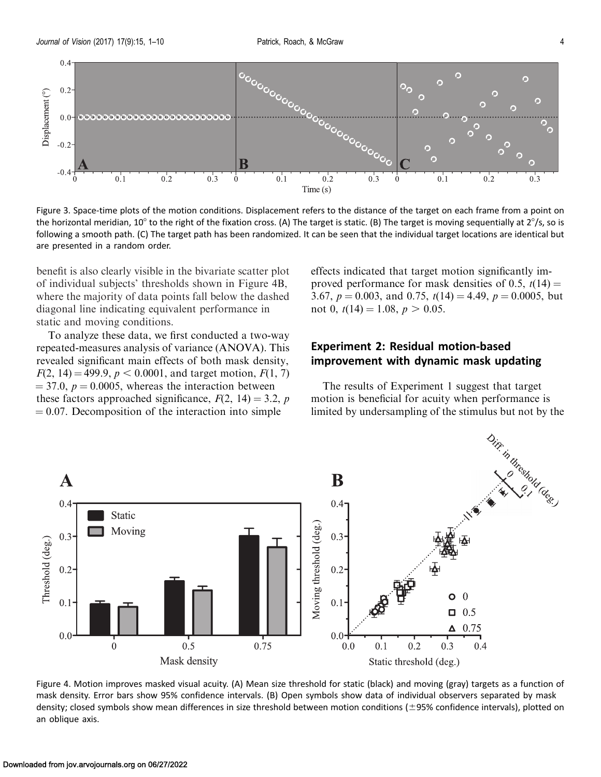<span id="page-3-0"></span>

Figure 3. Space-time plots of the motion conditions. Displacement refers to the distance of the target on each frame from a point on the horizontal meridian, 10° to the right of the fixation cross. (A) The target is static. (B) The target is moving sequentially at  $2^{\circ}/s$ , so is following a smooth path. (C) The target path has been randomized. It can be seen that the individual target locations are identical but are presented in a random order.

benefit is also clearly visible in the bivariate scatter plot of individual subjects' thresholds shown in Figure 4B, where the majority of data points fall below the dashed diagonal line indicating equivalent performance in static and moving conditions.

To analyze these data, we first conducted a two-way repeated-measures analysis of variance (ANOVA). This revealed significant main effects of both mask density,  $F(2, 14) = 499.9, p < 0.0001$ , and target motion,  $F(1, 7)$  $\mu = 37.0$ ,  $p = 0.0005$ , whereas the interaction between these factors approached significance,  $F(2, 14) = 3.2$ , p  $= 0.07$ . Decomposition of the interaction into simple

effects indicated that target motion significantly improved performance for mask densities of 0.5,  $t(14) =$ 3.67,  $p = 0.003$ , and 0.75,  $t(14) = 4.49$ ,  $p = 0.0005$ , but not 0,  $t(14) = 1.08$ ,  $p > 0.05$ .

## Experiment 2: Residual motion-based improvement with dynamic mask updating

The results of Experiment 1 suggest that target motion is beneficial for acuity when performance is limited by undersampling of the stimulus but not by the



Figure 4. Motion improves masked visual acuity. (A) Mean size threshold for static (black) and moving (gray) targets as a function of mask density. Error bars show 95% confidence intervals. (B) Open symbols show data of individual observers separated by mask density; closed symbols show mean differences in size threshold between motion conditions (±95% confidence intervals), plotted on an oblique axis.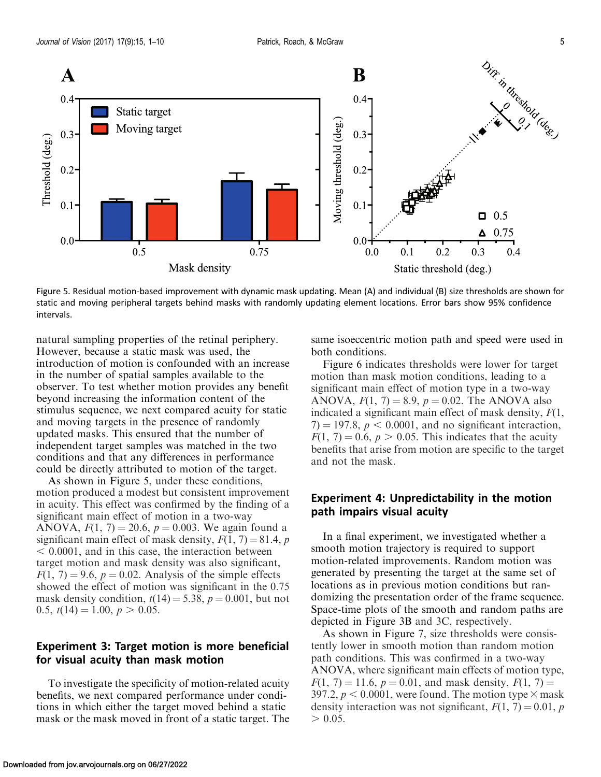

Figure 5. Residual motion-based improvement with dynamic mask updating. Mean (A) and individual (B) size thresholds are shown for static and moving peripheral targets behind masks with randomly updating element locations. Error bars show 95% confidence intervals.

natural sampling properties of the retinal periphery. However, because a static mask was used, the introduction of motion is confounded with an increase in the number of spatial samples available to the observer. To test whether motion provides any benefit beyond increasing the information content of the stimulus sequence, we next compared acuity for static and moving targets in the presence of randomly updated masks. This ensured that the number of independent target samples was matched in the two conditions and that any differences in performance could be directly attributed to motion of the target.

As shown in Figure 5, under these conditions, motion produced a modest but consistent improvement in acuity. This effect was confirmed by the finding of a significant main effect of motion in a two-way ANOVA,  $F(1, 7) = 20.6$ ,  $p = 0.003$ . We again found a significant main effect of mask density,  $F(1, 7) = 81.4$ , p  $< 0.0001$ , and in this case, the interaction between target motion and mask density was also significant,  $F(1, 7) = 9.6$ ,  $p = 0.02$ . Analysis of the simple effects showed the effect of motion was significant in the 0.75 mask density condition,  $t(14) = 5.38$ ,  $p = 0.001$ , but not 0.5,  $t(14) = 1.00, p > 0.05$ .

### Experiment 3: Target motion is more beneficial for visual acuity than mask motion

To investigate the specificity of motion-related acuity benefits, we next compared performance under conditions in which either the target moved behind a static mask or the mask moved in front of a static target. The same isoeccentric motion path and speed were used in both conditions.

[Figure 6](#page-5-0) indicates thresholds were lower for target motion than mask motion conditions, leading to a significant main effect of motion type in a two-way ANOVA,  $F(1, 7) = 8.9$ ,  $p = 0.02$ . The ANOVA also indicated a significant main effect of mask density,  $F(1,$  $7$ ) = 197.8,  $p < 0.0001$ , and no significant interaction,  $F(1, 7) = 0.6$ ,  $p > 0.05$ . This indicates that the acuity benefits that arise from motion are specific to the target and not the mask.

## Experiment 4: Unpredictability in the motion path impairs visual acuity

In a final experiment, we investigated whether a smooth motion trajectory is required to support motion-related improvements. Random motion was generated by presenting the target at the same set of locations as in previous motion conditions but randomizing the presentation order of the frame sequence. Space-time plots of the smooth and random paths are depicted in [Figure 3B](#page-3-0) and [3C,](#page-3-0) respectively.

As shown in [Figure 7,](#page-5-0) size thresholds were consistently lower in smooth motion than random motion path conditions. This was confirmed in a two-way ANOVA, where significant main effects of motion type,  $F(1, 7) = 11.6, p = 0.01$ , and mask density,  $F(1, 7) =$ 397.2,  $p < 0.0001$ , were found. The motion type  $\times$  mask density interaction was not significant,  $F(1, 7) = 0.01$ , p  $> 0.05.$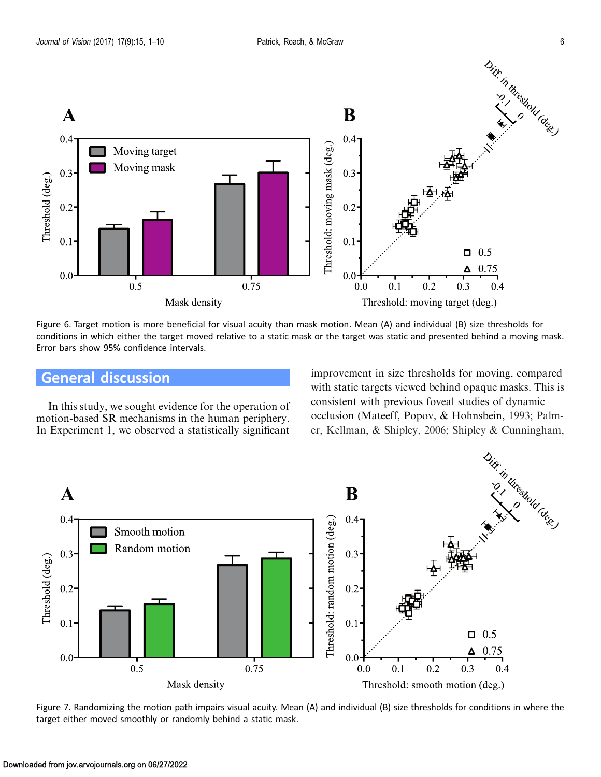<span id="page-5-0"></span>

Figure 6. Target motion is more beneficial for visual acuity than mask motion. Mean (A) and individual (B) size thresholds for conditions in which either the target moved relative to a static mask or the target was static and presented behind a moving mask. Error bars show 95% confidence intervals.

# General discussion

In this study, we sought evidence for the operation of motion-based SR mechanisms in the human periphery. In Experiment 1, we observed a statistically significant improvement in size thresholds for moving, compared with static targets viewed behind opaque masks. This is consistent with previous foveal studies of dynamic occlusion (Mateeff, Popov, & Hohnsbein, [1993](#page-8-0); Palmer, Kellman, & Shipley, [2006](#page-8-0); Shipley & Cunningham,



Figure 7. Randomizing the motion path impairs visual acuity. Mean (A) and individual (B) size thresholds for conditions in where the target either moved smoothly or randomly behind a static mask.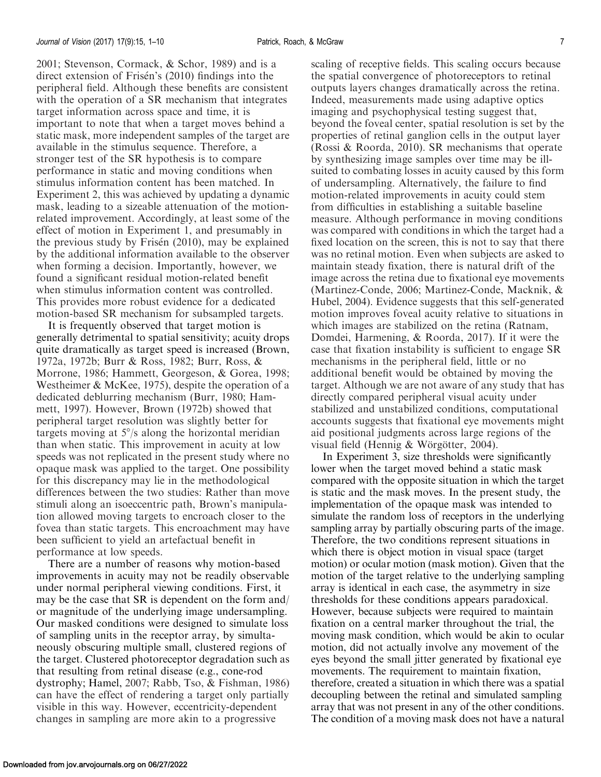[2001;](#page-9-0) Stevenson, Cormack, & Schor, [1989](#page-9-0)) and is a direct extension of Frisén's [\(2010](#page-8-0)) findings into the peripheral field. Although these benefits are consistent with the operation of a SR mechanism that integrates target information across space and time, it is important to note that when a target moves behind a static mask, more independent samples of the target are available in the stimulus sequence. Therefore, a stronger test of the SR hypothesis is to compare performance in static and moving conditions when stimulus information content has been matched. In Experiment 2, this was achieved by updating a dynamic mask, leading to a sizeable attenuation of the motionrelated improvement. Accordingly, at least some of the effect of motion in Experiment 1, and presumably in the previous study by Frisén  $(2010)$  $(2010)$ , may be explained by the additional information available to the observer when forming a decision. Importantly, however, we found a significant residual motion-related benefit when stimulus information content was controlled. This provides more robust evidence for a dedicated motion-based SR mechanism for subsampled targets.

It is frequently observed that target motion is generally detrimental to spatial sensitivity; acuity drops quite dramatically as target speed is increased (Brown, [1972a](#page-7-0), [1972b;](#page-7-0) Burr & Ross, [1982](#page-8-0); Burr, Ross, & Morrone, [1986;](#page-8-0) Hammett, Georgeson, & Gorea, [1998](#page-8-0); Westheimer & McKee, [1975\)](#page-9-0), despite the operation of a dedicated deblurring mechanism (Burr, [1980;](#page-7-0) Hammett, [1997\)](#page-8-0). However, Brown [\(1972b](#page-7-0)) showed that peripheral target resolution was slightly better for targets moving at  $5^{\circ}/s$  along the horizontal meridian than when static. This improvement in acuity at low speeds was not replicated in the present study where no opaque mask was applied to the target. One possibility for this discrepancy may lie in the methodological differences between the two studies: Rather than move stimuli along an isoeccentric path, Brown's manipulation allowed moving targets to encroach closer to the fovea than static targets. This encroachment may have been sufficient to yield an artefactual benefit in performance at low speeds.

There are a number of reasons why motion-based improvements in acuity may not be readily observable under normal peripheral viewing conditions. First, it may be the case that SR is dependent on the form and/ or magnitude of the underlying image undersampling. Our masked conditions were designed to simulate loss of sampling units in the receptor array, by simultaneously obscuring multiple small, clustered regions of the target. Clustered photoreceptor degradation such as that resulting from retinal disease (e.g., cone-rod dystrophy; Hamel, [2007](#page-8-0); Rabb, Tso, & Fishman, [1986](#page-8-0)) can have the effect of rendering a target only partially visible in this way. However, eccentricity-dependent changes in sampling are more akin to a progressive

scaling of receptive fields. This scaling occurs because the spatial convergence of photoreceptors to retinal outputs layers changes dramatically across the retina. Indeed, measurements made using adaptive optics imaging and psychophysical testing suggest that, beyond the foveal center, spatial resolution is set by the properties of retinal ganglion cells in the output layer (Rossi & Roorda, [2010\)](#page-8-0). SR mechanisms that operate by synthesizing image samples over time may be illsuited to combating losses in acuity caused by this form of undersampling. Alternatively, the failure to find motion-related improvements in acuity could stem from difficulties in establishing a suitable baseline measure. Although performance in moving conditions was compared with conditions in which the target had a fixed location on the screen, this is not to say that there was no retinal motion. Even when subjects are asked to maintain steady fixation, there is natural drift of the image across the retina due to fixational eye movements (Martinez-Conde, [2006](#page-8-0); Martinez-Conde, Macknik, & Hubel, [2004\)](#page-8-0). Evidence suggests that this self-generated motion improves foveal acuity relative to situations in which images are stabilized on the retina (Ratnam, Domdei, Harmening, & Roorda, [2017\)](#page-8-0). If it were the case that fixation instability is sufficient to engage SR mechanisms in the peripheral field, little or no additional benefit would be obtained by moving the target. Although we are not aware of any study that has directly compared peripheral visual acuity under stabilized and unstabilized conditions, computational accounts suggests that fixational eye movements might aid positional judgments across large regions of the visual field (Hennig & Wörgötter, [2004](#page-8-0)).

In Experiment 3, size thresholds were significantly lower when the target moved behind a static mask compared with the opposite situation in which the target is static and the mask moves. In the present study, the implementation of the opaque mask was intended to simulate the random loss of receptors in the underlying sampling array by partially obscuring parts of the image. Therefore, the two conditions represent situations in which there is object motion in visual space (target motion) or ocular motion (mask motion). Given that the motion of the target relative to the underlying sampling array is identical in each case, the asymmetry in size thresholds for these conditions appears paradoxical. However, because subjects were required to maintain fixation on a central marker throughout the trial, the moving mask condition, which would be akin to ocular motion, did not actually involve any movement of the eyes beyond the small jitter generated by fixational eye movements. The requirement to maintain fixation, therefore, created a situation in which there was a spatial decoupling between the retinal and simulated sampling array that was not present in any of the other conditions. The condition of a moving mask does not have a natural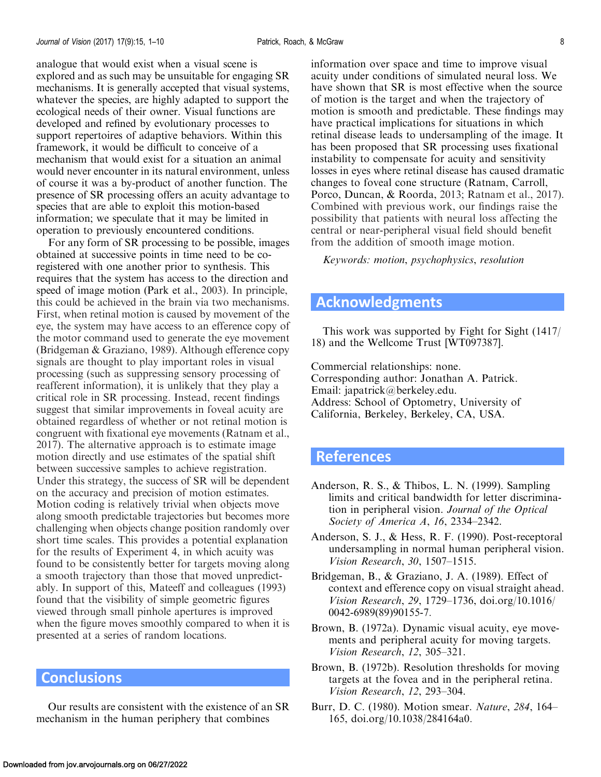<span id="page-7-0"></span>analogue that would exist when a visual scene is explored and as such may be unsuitable for engaging SR mechanisms. It is generally accepted that visual systems, whatever the species, are highly adapted to support the ecological needs of their owner. Visual functions are developed and refined by evolutionary processes to support repertoires of adaptive behaviors. Within this framework, it would be difficult to conceive of a mechanism that would exist for a situation an animal would never encounter in its natural environment, unless of course it was a by-product of another function. The presence of SR processing offers an acuity advantage to species that are able to exploit this motion-based information; we speculate that it may be limited in operation to previously encountered conditions.

For any form of SR processing to be possible, images obtained at successive points in time need to be coregistered with one another prior to synthesis. This requires that the system has access to the direction and speed of image motion (Park et al., [2003\)](#page-8-0). In principle, this could be achieved in the brain via two mechanisms. First, when retinal motion is caused by movement of the eye, the system may have access to an efference copy of the motor command used to generate the eye movement (Bridgeman & Graziano, 1989). Although efference copy signals are thought to play important roles in visual processing (such as suppressing sensory processing of reafferent information), it is unlikely that they play a critical role in SR processing. Instead, recent findings suggest that similar improvements in foveal acuity are obtained regardless of whether or not retinal motion is congruent with fixational eye movements (Ratnam et al., [2017](#page-8-0)). The alternative approach is to estimate image motion directly and use estimates of the spatial shift between successive samples to achieve registration. Under this strategy, the success of SR will be dependent on the accuracy and precision of motion estimates. Motion coding is relatively trivial when objects move along smooth predictable trajectories but becomes more challenging when objects change position randomly over short time scales. This provides a potential explanation for the results of Experiment 4, in which acuity was found to be consistently better for targets moving along a smooth trajectory than those that moved unpredictably. In support of this, Mateeff and colleagues [\(1993\)](#page-8-0) found that the visibility of simple geometric figures viewed through small pinhole apertures is improved when the figure moves smoothly compared to when it is presented at a series of random locations.

## **Conclusions**

Our results are consistent with the existence of an SR mechanism in the human periphery that combines

information over space and time to improve visual acuity under conditions of simulated neural loss. We have shown that SR is most effective when the source of motion is the target and when the trajectory of motion is smooth and predictable. These findings may have practical implications for situations in which retinal disease leads to undersampling of the image. It has been proposed that SR processing uses fixational instability to compensate for acuity and sensitivity losses in eyes where retinal disease has caused dramatic changes to foveal cone structure (Ratnam, Carroll, Porco, Duncan, & Roorda, [2013](#page-8-0); Ratnam et al., [2017](#page-8-0)). Combined with previous work, our findings raise the possibility that patients with neural loss affecting the central or near-peripheral visual field should benefit from the addition of smooth image motion.

Keywords: motion, psychophysics, resolution

# Acknowledgments

This work was supported by Fight for Sight (1417/ 18) and the Wellcome Trust [WT097387].

Commercial relationships: none. Corresponding author: Jonathan A. Patrick. Email: [japatrick@berkeley.edu.](mailto:japatrick@berkeley.edu) Address: School of Optometry, University of California, Berkeley, Berkeley, CA, USA.

## References

- Anderson, R. S., & Thibos, L. N. (1999). Sampling limits and critical bandwidth for letter discrimination in peripheral vision. Journal of the Optical Society of America A, 16, 2334–2342.
- Anderson, S. J., & Hess, R. F. (1990). Post-receptoral undersampling in normal human peripheral vision. Vision Research, 30, 1507–1515.
- Bridgeman, B., & Graziano, J. A. (1989). Effect of context and efference copy on visual straight ahead. Vision Research, 29, 1729–1736, [doi.org/10.1016/](http://doi.org/10.1016/0042-6989(89)90155-7) [0042-6989\(89\)90155-7](http://doi.org/10.1016/0042-6989(89)90155-7).
- Brown, B. (1972a). Dynamic visual acuity, eye movements and peripheral acuity for moving targets. Vision Research, 12, 305–321.
- Brown, B. (1972b). Resolution thresholds for moving targets at the fovea and in the peripheral retina. Vision Research, 12, 293–304.
- Burr, D. C. (1980). Motion smear. Nature, 284, 164– 165, [doi.org/10.1038/284164a0.](http://doi.org/10.1038/284164a0)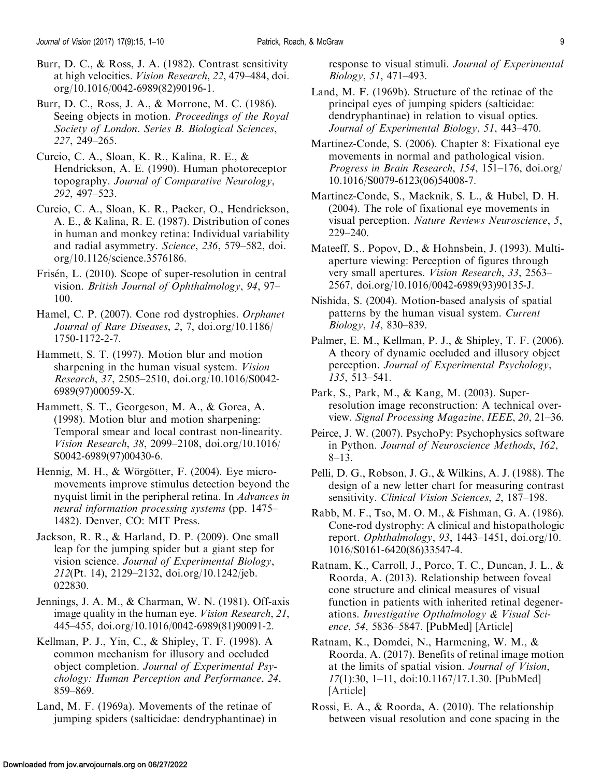- <span id="page-8-0"></span>Burr, D. C., & Ross, J. A. (1982). Contrast sensitivity at high velocities. Vision Research, 22, 479–484, [doi.](http://doi.org/10.1016/0042-6989(82)90196-1) [org/10.1016/0042-6989\(82\)90196-1.](http://doi.org/10.1016/0042-6989(82)90196-1)
- Burr, D. C., Ross, J. A., & Morrone, M. C. (1986). Seeing objects in motion. *Proceedings of the Royal* Society of London. Series B. Biological Sciences, 227, 249–265.
- Curcio, C. A., Sloan, K. R., Kalina, R. E., & Hendrickson, A. E. (1990). Human photoreceptor topography. Journal of Comparative Neurology, 292, 497–523.
- Curcio, C. A., Sloan, K. R., Packer, O., Hendrickson, A. E., & Kalina, R. E. (1987). Distribution of cones in human and monkey retina: Individual variability and radial asymmetry. Science, 236, 579–582, [doi.](http://doi.org/10.1126/science.3576186) [org/10.1126/science.3576186](http://doi.org/10.1126/science.3576186).
- Frisén, L. (2010). Scope of super-resolution in central vision. British Journal of Ophthalmology, 94, 97– 100.
- Hamel, C. P. (2007). Cone rod dystrophies. Orphanet Journal of Rare Diseases, 2, 7, [doi.org/10.1186/](http://doi.org/10.1186/1750-1172-2-7) [1750-1172-2-7.](http://doi.org/10.1186/1750-1172-2-7)
- Hammett, S. T. (1997). Motion blur and motion sharpening in the human visual system. *Vision* Research, 37, 2505–2510, [doi.org/10.1016/S0042-](http://doi.org/10.1016/S0042-6989(97)00059-) [6989\(97\)00059-](http://doi.org/10.1016/S0042-6989(97)00059-)X.
- Hammett, S. T., Georgeson, M. A., & Gorea, A. (1998). Motion blur and motion sharpening: Temporal smear and local contrast non-linearity. Vision Research, 38, 2099–2108, [doi.org/10.1016/](http://doi.org/10.1016/S0042-6989(97)00430-6) [S0042-6989\(97\)00430-6](http://doi.org/10.1016/S0042-6989(97)00430-6).
- Hennig, M. H., & Wörgötter, F. (2004). Eye micromovements improve stimulus detection beyond the nyquist limit in the peripheral retina. In Advances in neural information processing systems (pp. 1475– 1482). Denver, CO: MIT Press.
- Jackson, R. R., & Harland, D. P. (2009). One small leap for the jumping spider but a giant step for vision science. Journal of Experimental Biology, 212(Pt. 14), 2129–2132, [doi.org/10.1242/jeb.](http://doi.org/10.1242/jeb.022830) [022830.](http://doi.org/10.1242/jeb.022830)
- Jennings, J. A. M., & Charman, W. N. (1981). Off-axis image quality in the human eye. Vision Research, 21, 445–455, [doi.org/10.1016/0042-6989\(81\)90091-2](http://doi.org/10.1016/0042-6989(81)90091-2).
- Kellman, P. J., Yin, C., & Shipley, T. F. (1998). A common mechanism for illusory and occluded object completion. Journal of Experimental Psychology: Human Perception and Performance, 24, 859–869.
- Land, M. F. (1969a). Movements of the retinae of jumping spiders (salticidae: dendryphantinae) in

response to visual stimuli. Journal of Experimental Biology, 51, 471–493.

- Land, M. F. (1969b). Structure of the retinae of the principal eyes of jumping spiders (salticidae: dendryphantinae) in relation to visual optics. Journal of Experimental Biology, 51, 443–470.
- Martinez-Conde, S. (2006). Chapter 8: Fixational eye movements in normal and pathological vision. Progress in Brain Research, 154, 151–176, [doi.org/](http://doi.org/10.1016/S0079-6123(06)54008-7) [10.1016/S0079-6123\(06\)54008-7.](http://doi.org/10.1016/S0079-6123(06)54008-7)
- Martinez-Conde, S., Macknik, S. L., & Hubel, D. H. (2004). The role of fixational eye movements in visual perception. Nature Reviews Neuroscience, 5, 229–240.
- Mateeff, S., Popov, D., & Hohnsbein, J. (1993). Multiaperture viewing: Perception of figures through very small apertures. Vision Research, 33, 2563– 2567, [doi.org/10.1016/0042-6989\(93\)90135-J.](http://doi.org/10.1016/0042-6989(93)90135-J)
- Nishida, S. (2004). Motion-based analysis of spatial patterns by the human visual system. Current Biology, 14, 830–839.
- Palmer, E. M., Kellman, P. J., & Shipley, T. F. (2006). A theory of dynamic occluded and illusory object perception. Journal of Experimental Psychology, 135, 513–541.
- Park, S., Park, M., & Kang, M. (2003). Superresolution image reconstruction: A technical overview. Signal Processing Magazine, IEEE, 20, 21–36.
- Peirce, J. W. (2007). PsychoPy: Psychophysics software in Python. Journal of Neuroscience Methods, 162, 8–13.
- Pelli, D. G., Robson, J. G., & Wilkins, A. J. (1988). The design of a new letter chart for measuring contrast sensitivity. Clinical Vision Sciences, 2, 187-198.
- Rabb, M. F., Tso, M. O. M., & Fishman, G. A. (1986). Cone-rod dystrophy: A clinical and histopathologic report. Ophthalmology, 93, 1443–1451, [doi.org/10.](http://doi.org/10.1016/S0161-6420(86)33547-4) [1016/S0161-6420\(86\)33547-4.](http://doi.org/10.1016/S0161-6420(86)33547-4)
- Ratnam, K., Carroll, J., Porco, T. C., Duncan, J. L., & Roorda, A. (2013). Relationship between foveal cone structure and clinical measures of visual function in patients with inherited retinal degenerations. Investigative Opthalmology & Visual Science, 54, 5836–5847. [[PubMed](https://www.ncbi.nlm.nih.gov/pubmed/23908179)] [[Article](http://iovs.arvojournals.org/article.aspx?articleid=2128996)]
- Ratnam, K., Domdei, N., Harmening, W. M., & Roorda, A. (2017). Benefits of retinal image motion at the limits of spatial vision. Journal of Vision, 17(1):30, 1–11, doi:[10.1167/17.1.30](http://dx.doi.org/10.1167/17.1.30). [[PubMed](https://www.ncbi.nlm.nih.gov/pubmed/28129414)] [[Article\]](http://jov.arvojournals.org/article.aspx?articleid=2599741)
- Rossi, E. A., & Roorda, A. (2010). The relationship between visual resolution and cone spacing in the